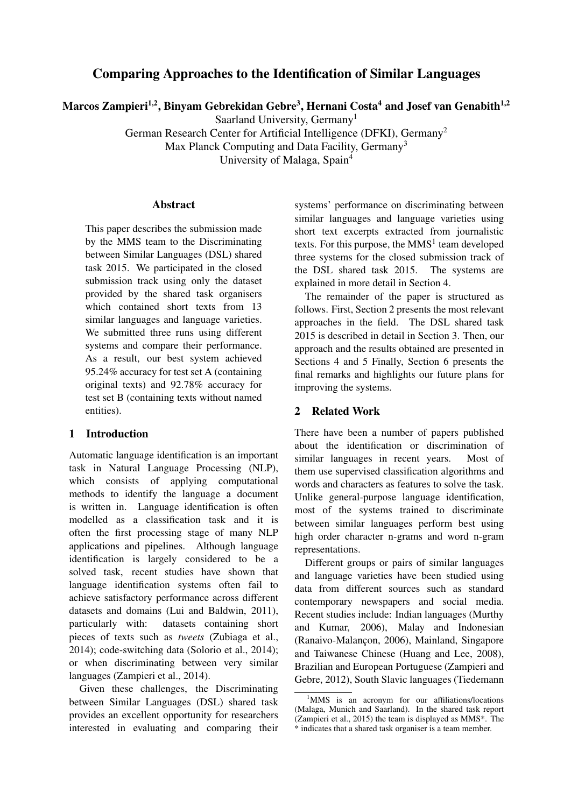# Comparing Approaches to the Identification of Similar Languages

Marcos Zampieri<sup>1,2</sup>, Binyam Gebrekidan Gebre<sup>3</sup>, Hernani Costa<sup>4</sup> and Josef van Genabith<sup>1,2</sup>

Saarland University, Germany<sup>1</sup>

German Research Center for Artificial Intelligence (DFKI), Germany2 Max Planck Computing and Data Facility, Germany<sup>3</sup>

University of Malaga, Spain4

#### Abstract

This paper describes the submission made by the MMS team to the Discriminating between Similar Languages (DSL) shared task 2015. We participated in the closed submission track using only the dataset provided by the shared task organisers which contained short texts from 13 similar languages and language varieties. We submitted three runs using different systems and compare their performance. As a result, our best system achieved 95.24% accuracy for test set A (containing original texts) and 92.78% accuracy for test set B (containing texts without named entities).

# 1 Introduction

Automatic language identification is an important task in Natural Language Processing (NLP), which consists of applying computational methods to identify the language a document is written in. Language identification is often modelled as a classification task and it is often the first processing stage of many NLP applications and pipelines. Although language identification is largely considered to be a solved task, recent studies have shown that language identification systems often fail to achieve satisfactory performance across different datasets and domains (Lui and Baldwin, 2011), particularly with: datasets containing short pieces of texts such as *tweets* (Zubiaga et al., 2014); code-switching data (Solorio et al., 2014); or when discriminating between very similar languages (Zampieri et al., 2014).

Given these challenges, the Discriminating between Similar Languages (DSL) shared task provides an excellent opportunity for researchers interested in evaluating and comparing their systems' performance on discriminating between similar languages and language varieties using short text excerpts extracted from journalistic texts. For this purpose, the  $MMS<sup>1</sup>$  team developed three systems for the closed submission track of the DSL shared task 2015. The systems are explained in more detail in Section 4.

The remainder of the paper is structured as follows. First, Section 2 presents the most relevant approaches in the field. The DSL shared task 2015 is described in detail in Section 3. Then, our approach and the results obtained are presented in Sections 4 and 5 Finally, Section 6 presents the final remarks and highlights our future plans for improving the systems.

# 2 Related Work

There have been a number of papers published about the identification or discrimination of similar languages in recent years. Most of them use supervised classification algorithms and words and characters as features to solve the task. Unlike general-purpose language identification, most of the systems trained to discriminate between similar languages perform best using high order character n-grams and word n-gram representations.

Different groups or pairs of similar languages and language varieties have been studied using data from different sources such as standard contemporary newspapers and social media. Recent studies include: Indian languages (Murthy and Kumar, 2006), Malay and Indonesian (Ranaivo-Malançon, 2006), Mainland, Singapore and Taiwanese Chinese (Huang and Lee, 2008), Brazilian and European Portuguese (Zampieri and Gebre, 2012), South Slavic languages (Tiedemann

<sup>&</sup>lt;sup>1</sup>MMS is an acronym for our affiliations/locations (Malaga, Munich and Saarland). In the shared task report (Zampieri et al., 2015) the team is displayed as MMS\*. The \* indicates that a shared task organiser is a team member.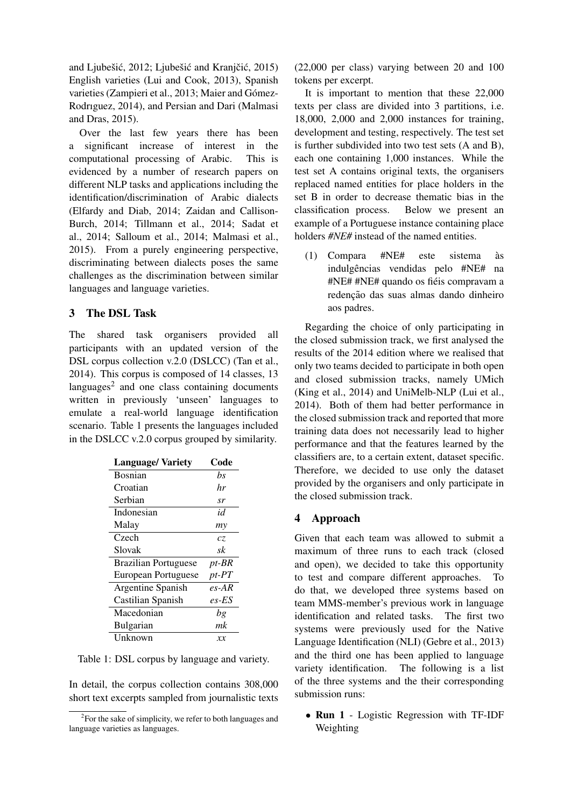and Ljubešić, 2012; Ljubešić and Kranjčić, 2015) English varieties (Lui and Cook, 2013), Spanish varieties (Zampieri et al., 2013; Maier and Gómez-Rodrıguez, 2014), and Persian and Dari (Malmasi and Dras, 2015).

Over the last few years there has been a significant increase of interest in the computational processing of Arabic. This is evidenced by a number of research papers on different NLP tasks and applications including the identification/discrimination of Arabic dialects (Elfardy and Diab, 2014; Zaidan and Callison-Burch, 2014; Tillmann et al., 2014; Sadat et al., 2014; Salloum et al., 2014; Malmasi et al., 2015). From a purely engineering perspective, discriminating between dialects poses the same challenges as the discrimination between similar languages and language varieties.

### 3 The DSL Task

The shared task organisers provided all participants with an updated version of the DSL corpus collection v.2.0 (DSLCC) (Tan et al., 2014). This corpus is composed of 14 classes, 13 languages $2$  and one class containing documents written in previously 'unseen' languages to emulate a real-world language identification scenario. Table 1 presents the languages included in the DSLCC v.2.0 corpus grouped by similarity.

| <b>Language/Variety</b>     | Code        |
|-----------------------------|-------------|
| <b>Bosnian</b>              | bs          |
| Croatian                    | hr          |
| Serbian                     | sr          |
| Indonesian                  | id          |
| Malay                       | my          |
| Czech                       | CZ.         |
| Slovak                      | sk          |
| <b>Brazilian Portuguese</b> | pt-BR       |
| European Portuguese         | $pt$ - $PT$ |
| Argentine Spanish           | $es-AR$     |
| Castilian Spanish           | es-ES       |
| Macedonian                  | bg          |
| <b>Bulgarian</b>            | mk          |
| Unknown                     | хx          |

Table 1: DSL corpus by language and variety.

In detail, the corpus collection contains 308,000 short text excerpts sampled from journalistic texts (22,000 per class) varying between 20 and 100 tokens per excerpt.

It is important to mention that these 22,000 texts per class are divided into 3 partitions, i.e. 18,000, 2,000 and 2,000 instances for training, development and testing, respectively. The test set is further subdivided into two test sets (A and B), each one containing 1,000 instances. While the test set A contains original texts, the organisers replaced named entities for place holders in the set B in order to decrease thematic bias in the classification process. Below we present an example of a Portuguese instance containing place holders *#NE#* instead of the named entities.

(1) Compara #NE# este sistema as` indulgências vendidas pelo #NE# na #NE# #NE# quando os fieis compravam a ´ redenção das suas almas dando dinheiro aos padres.

Regarding the choice of only participating in the closed submission track, we first analysed the results of the 2014 edition where we realised that only two teams decided to participate in both open and closed submission tracks, namely UMich (King et al., 2014) and UniMelb-NLP (Lui et al., 2014). Both of them had better performance in the closed submission track and reported that more training data does not necessarily lead to higher performance and that the features learned by the classifiers are, to a certain extent, dataset specific. Therefore, we decided to use only the dataset provided by the organisers and only participate in the closed submission track.

### 4 Approach

Given that each team was allowed to submit a maximum of three runs to each track (closed and open), we decided to take this opportunity to test and compare different approaches. To do that, we developed three systems based on team MMS-member's previous work in language identification and related tasks. The first two systems were previously used for the Native Language Identification (NLI) (Gebre et al., 2013) and the third one has been applied to language variety identification. The following is a list of the three systems and the their corresponding submission runs:

*•* Run 1 - Logistic Regression with TF-IDF Weighting

 $2$ For the sake of simplicity, we refer to both languages and language varieties as languages.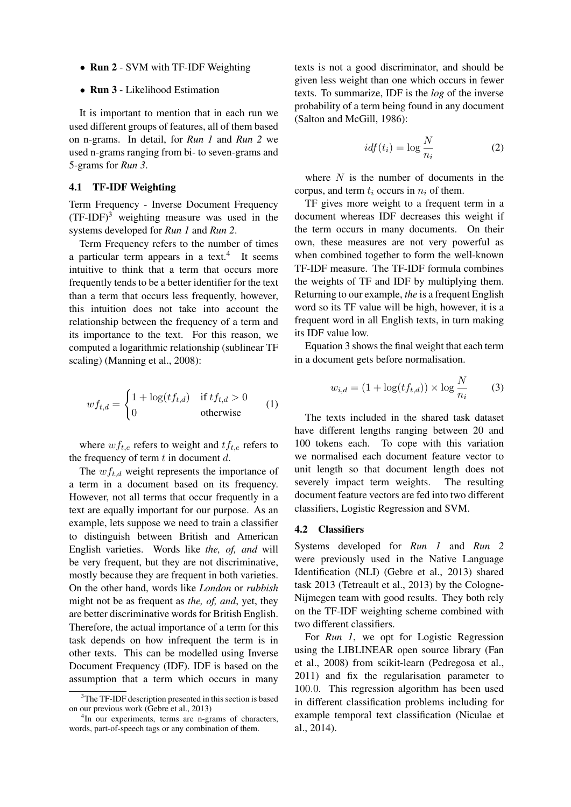- Run 2 SVM with TF-IDF Weighting
- *•* Run 3 Likelihood Estimation

It is important to mention that in each run we used different groups of features, all of them based on n-grams. In detail, for *Run 1* and *Run 2* we used n-grams ranging from bi- to seven-grams and 5-grams for *Run 3*.

#### 4.1 TF-IDF Weighting

Term Frequency - Inverse Document Frequency  $(TF-IDF)^3$  weighting measure was used in the systems developed for *Run 1* and *Run 2*.

Term Frequency refers to the number of times a particular term appears in a text.<sup>4</sup> It seems intuitive to think that a term that occurs more frequently tends to be a better identifier for the text than a term that occurs less frequently, however, this intuition does not take into account the relationship between the frequency of a term and its importance to the text. For this reason, we computed a logarithmic relationship (sublinear TF scaling) (Manning et al., 2008):

$$
wf_{t,d} = \begin{cases} 1 + \log(tf_{t,d}) & \text{if } tf_{t,d} > 0\\ 0 & \text{otherwise} \end{cases}
$$
 (1)

where  $w f_{t,e}$  refers to weight and  $t f_{t,e}$  refers to the frequency of term *t* in document *d*.

The *wft,d* weight represents the importance of a term in a document based on its frequency. However, not all terms that occur frequently in a text are equally important for our purpose. As an example, lets suppose we need to train a classifier to distinguish between British and American English varieties. Words like *the, of, and* will be very frequent, but they are not discriminative, mostly because they are frequent in both varieties. On the other hand, words like *London* or *rubbish* might not be as frequent as *the, of, and*, yet, they are better discriminative words for British English. Therefore, the actual importance of a term for this task depends on how infrequent the term is in other texts. This can be modelled using Inverse Document Frequency (IDF). IDF is based on the assumption that a term which occurs in many texts is not a good discriminator, and should be given less weight than one which occurs in fewer texts. To summarize, IDF is the *log* of the inverse probability of a term being found in any document (Salton and McGill, 1986):

$$
idf(t_i) = \log \frac{N}{n_i} \tag{2}
$$

where *N* is the number of documents in the corpus, and term  $t_i$  occurs in  $n_i$  of them.

TF gives more weight to a frequent term in a document whereas IDF decreases this weight if the term occurs in many documents. On their own, these measures are not very powerful as when combined together to form the well-known TF-IDF measure. The TF-IDF formula combines the weights of TF and IDF by multiplying them. Returning to our example, *the* is a frequent English word so its TF value will be high, however, it is a frequent word in all English texts, in turn making its IDF value low.

Equation 3 shows the final weight that each term in a document gets before normalisation.

$$
w_{i,d} = (1 + \log(tf_{t,d})) \times \log \frac{N}{n_i} \tag{3}
$$

The texts included in the shared task dataset have different lengths ranging between 20 and 100 tokens each. To cope with this variation we normalised each document feature vector to unit length so that document length does not severely impact term weights. The resulting document feature vectors are fed into two different classifiers, Logistic Regression and SVM.

#### 4.2 Classifiers

Systems developed for *Run 1* and *Run 2* were previously used in the Native Language Identification (NLI) (Gebre et al., 2013) shared task 2013 (Tetreault et al., 2013) by the Cologne-Nijmegen team with good results. They both rely on the TF-IDF weighting scheme combined with two different classifiers.

For *Run 1*, we opt for Logistic Regression using the LIBLINEAR open source library (Fan et al., 2008) from scikit-learn (Pedregosa et al., 2011) and fix the regularisation parameter to 100*.*0. This regression algorithm has been used in different classification problems including for example temporal text classification (Niculae et al., 2014).

<sup>&</sup>lt;sup>3</sup>The TF-IDF description presented in this section is based on our previous work (Gebre et al., 2013)

<sup>&</sup>lt;sup>4</sup>In our experiments, terms are n-grams of characters, words, part-of-speech tags or any combination of them.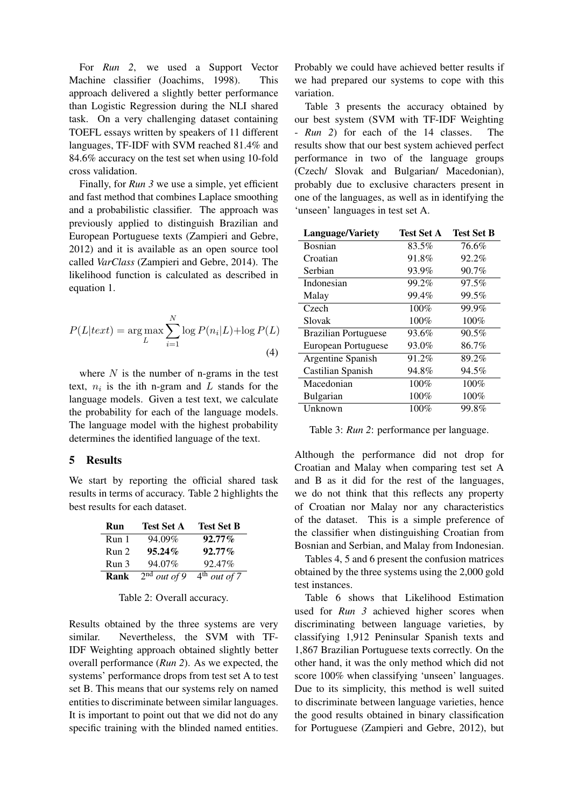For *Run 2*, we used a Support Vector Machine classifier (Joachims, 1998). This approach delivered a slightly better performance than Logistic Regression during the NLI shared task. On a very challenging dataset containing TOEFL essays written by speakers of 11 different languages, TF-IDF with SVM reached 81.4% and 84.6% accuracy on the test set when using 10-fold cross validation.

Finally, for *Run 3* we use a simple, yet efficient and fast method that combines Laplace smoothing and a probabilistic classifier. The approach was previously applied to distinguish Brazilian and European Portuguese texts (Zampieri and Gebre, 2012) and it is available as an open source tool called *VarClass* (Zampieri and Gebre, 2014). The likelihood function is calculated as described in equation 1.

$$
P(L|text) = \arg\max_{L} \sum_{i=1}^{N} \log P(n_i|L) + \log P(L)
$$
\n(4)

where *N* is the number of n-grams in the test text,  $n_i$  is the ith n-gram and  $L$  stands for the language models. Given a test text, we calculate the probability for each of the language models. The language model with the highest probability determines the identified language of the text.

#### 5 Results

We start by reporting the official shared task results in terms of accuracy. Table 2 highlights the best results for each dataset.

| Run              | <b>Test Set A</b> | <b>Test Set B</b> |
|------------------|-------------------|-------------------|
| Run 1            | 94.09%            | $92.77\%$         |
| Run <sub>2</sub> | $95.24\%$         | $92.77\%$         |
| Run 3            | 94.07%            | 92.47%            |
| Rank             | $2nd$ out of 9    | $4th$ out of 7    |

Table 2: Overall accuracy.

Results obtained by the three systems are very similar. Nevertheless, the SVM with TF-IDF Weighting approach obtained slightly better overall performance (*Run 2*). As we expected, the systems' performance drops from test set A to test set B. This means that our systems rely on named entities to discriminate between similar languages. It is important to point out that we did not do any specific training with the blinded named entities. Probably we could have achieved better results if we had prepared our systems to cope with this variation.

Table 3 presents the accuracy obtained by our best system (SVM with TF-IDF Weighting - *Run 2*) for each of the 14 classes. The results show that our best system achieved perfect performance in two of the language groups (Czech/ Slovak and Bulgarian/ Macedonian), probably due to exclusive characters present in one of the languages, as well as in identifying the 'unseen' languages in test set A.

| <b>Language/Variety</b>     | Test Set A | <b>Test Set B</b> |
|-----------------------------|------------|-------------------|
| Bosnian                     | 83.5%      | 76.6%             |
| Croatian                    | 91.8%      | 92.2%             |
| Serbian                     | 93.9%      | $90.7\%$          |
| Indonesian                  | 99.2%      | 97.5%             |
| Malay                       | 99.4%      | 99.5%             |
| Czech                       | 100%       | 99.9%             |
| Slovak                      | 100%       | 100%              |
| <b>Brazilian Portuguese</b> | 93.6%      | 90.5%             |
| European Portuguese         | 93.0%      | 86.7%             |
| Argentine Spanish           | 91.2%      | 89.2%             |
| Castilian Spanish           | 94.8%      | 94.5%             |
| Macedonian                  | 100%       | 100%              |
| <b>Bulgarian</b>            | 100%       | 100%              |
| Unknown                     | 100%       | 99.8%             |

Table 3: *Run 2*: performance per language.

Although the performance did not drop for Croatian and Malay when comparing test set A and B as it did for the rest of the languages, we do not think that this reflects any property of Croatian nor Malay nor any characteristics of the dataset. This is a simple preference of the classifier when distinguishing Croatian from Bosnian and Serbian, and Malay from Indonesian.

Tables 4, 5 and 6 present the confusion matrices obtained by the three systems using the 2,000 gold test instances.

Table 6 shows that Likelihood Estimation used for *Run 3* achieved higher scores when discriminating between language varieties, by classifying 1,912 Peninsular Spanish texts and 1,867 Brazilian Portuguese texts correctly. On the other hand, it was the only method which did not score 100% when classifying 'unseen' languages. Due to its simplicity, this method is well suited to discriminate between language varieties, hence the good results obtained in binary classification for Portuguese (Zampieri and Gebre, 2012), but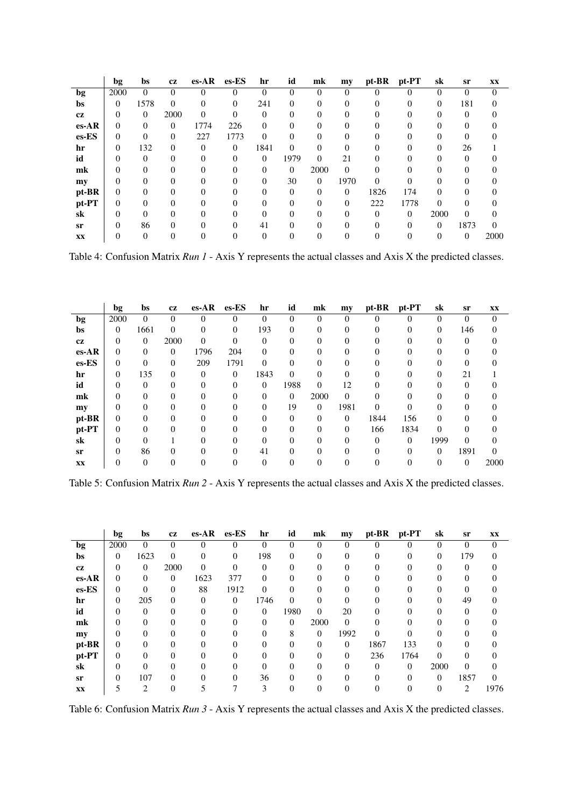|               | bg       | bs       | cz       | $es-AR$  | $es$ -ES | hr           | id       | mk       | my       | pt-BR    | pt-PT    | sk       | sr               | XX       |
|---------------|----------|----------|----------|----------|----------|--------------|----------|----------|----------|----------|----------|----------|------------------|----------|
| bg            | 2000     | $\Omega$ | 0        | 0        | 0        | 0            | 0        | 0        | $\Omega$ | 0        | O        | 0        | 0                | $\Omega$ |
| bs            | 0        | 1578     | $\Omega$ | 0        | 0        | 241          | $\Omega$ | 0        | $\Omega$ | 0        | 0        | $\Omega$ | 181              |          |
| <b>cz</b>     | $\Omega$ | $\theta$ | 2000     | $\theta$ | 0        | $\Omega$     |          | $^{(1)}$ | 0        |          |          |          |                  |          |
| $es-AR$       | 0        | $\Omega$ | $\Omega$ | 1774     | 226      | $\Omega$     | $\Omega$ | 0        | $\Omega$ | $\Omega$ |          |          | 0                |          |
| es-ES         | 0        | $\Omega$ | 0        | 227      | 1773     | 0            |          | $^{(1)}$ |          |          |          |          |                  |          |
| hr            | $\theta$ | 132      | $\Omega$ | $\theta$ | $\Omega$ | 1841         | $\Omega$ | 0        | $\Omega$ | 0        |          | $\Omega$ | 26               |          |
| id            |          | $\Omega$ | 0        | 0        | 0        | $\mathbf{0}$ | 1979     | $\Omega$ | 21       | 0        |          |          |                  |          |
| mk            | 0        | $\Omega$ |          | 0        | $\Omega$ | $\Omega$     | $\Omega$ | 2000     | $\Omega$ | 0        |          |          | 0                |          |
| my            |          | 0        |          | 0        |          | 0            | 30       | $\theta$ | 1970     | 0        | 0        |          |                  |          |
| pt-BR         | $\Omega$ | $\Omega$ | 0        | 0        |          | 0            | 0        | $\Omega$ | $\Omega$ | 1826     | 174      | 0        | 0                |          |
| pt-PT         | 0        | 0        | 0        | 0        |          |              | 0        | $\Omega$ | $\Omega$ | 222      | 1778     | 0        | 0                |          |
| sk            | 0        | $\Omega$ |          | 0        |          |              |          | 0        | $\Omega$ | $\Omega$ | $\Omega$ | 2000     | $\Omega$         |          |
| sr            | 0        | 86       | $\Omega$ | 0        | 0        | 41           | $\Omega$ | 0        | 0        | 0        | 0        | $\theta$ | 1873             | $\Omega$ |
| $\mathbf{XX}$ |          | $\Omega$ |          |          |          |              |          |          |          |          |          | 0        | $\boldsymbol{0}$ | 2000     |

Table 4: Confusion Matrix *Run 1* - Axis Y represents the actual classes and Axis X the predicted classes.

|         | bg       | bs       | cz       | $es-AR$  | $es$ -ES | hr       | id       | mk       | my       | pt-BR    | pt-PT | sk       | sr       | XX       |
|---------|----------|----------|----------|----------|----------|----------|----------|----------|----------|----------|-------|----------|----------|----------|
| bg      | 2000     | $\theta$ | $\Omega$ | $\theta$ | 0        | 0        | $\Omega$ | $\theta$ | 0        | 0        | 0     | 0        | $\Omega$ | $\theta$ |
| bs      | $\Omega$ | 1661     | $\Omega$ | $\Omega$ | $\Omega$ | 193      | $\Omega$ | $\theta$ | 0        | 0        | 0     | $\Omega$ | 146      |          |
| cz      | 0        | $\theta$ | 2000     | $\theta$ | 0        | 0        | 0        | $\theta$ | 0        |          | 0     | 0        | $\Omega$ |          |
| $es-AR$ | 0        | $\Omega$ | $\Omega$ | 1796     | 204      | $\theta$ | $\Omega$ | 0        | 0        |          |       |          |          |          |
| es-ES   | 0        | 0        | $\Omega$ | 209      | 1791     | 0        | $\Omega$ | $\theta$ | 0        |          |       | 0        |          |          |
| hr      | $\theta$ | 135      | $\Omega$ | $\Omega$ | $\Omega$ | 1843     | $\Omega$ | 0        | 0        |          |       | 0        | 21       |          |
| id      |          | 0        |          | 0        | 0        | $\theta$ | 1988     | $\Omega$ | 12       | $\Omega$ |       |          |          |          |
| mk      | 0        | $\Omega$ | 0        | 0        |          | $\Omega$ | $\Omega$ | 2000     | $\Omega$ | 0        | 0     |          | 0        |          |
| my      |          | 0        |          | 0        |          | 0        | 19       | $\theta$ | 1981     | 0        |       |          |          |          |
| pt-BR   | 0        | $\Omega$ | 0        | 0        |          | 0        | $\Omega$ | $\Omega$ | $\theta$ | 1844     | 156   | 0        | 0        |          |
| pt-PT   | 0        | 0        |          |          |          |          | $\Omega$ | $\theta$ | $\theta$ | 166      | 1834  | 0        |          |          |
| sk      | 0        | $\Omega$ |          | 0        |          | 0        | $\Omega$ | 0        | $\Omega$ | $\Omega$ | 0     | 1999     | $\Omega$ |          |
| sr      | $\theta$ | 86       |          |          |          | 41       |          | $\theta$ |          |          |       | $\Omega$ | 1891     |          |
| XX      |          | $\theta$ |          | 0        |          | 0        |          |          |          |          |       | 0        | $\theta$ | 2000     |

Table 5: Confusion Matrix *Run 2* - Axis Y represents the actual classes and Axis X the predicted classes.

|           | bg       | bs             | cz       | $es-AR$  | es-ES    | hr             | id       | mk       | my       | pt-BR    | pt-PT    | sk       | sr       | $\mathbf{XX}$ |
|-----------|----------|----------------|----------|----------|----------|----------------|----------|----------|----------|----------|----------|----------|----------|---------------|
| bg        | 2000     | $\theta$       | $\Omega$ | $\theta$ | 0        | 0              | $\theta$ | $\theta$ | $\theta$ | 0        | 0        | 0        | $\Omega$ | $\Omega$      |
| bs        | $\Omega$ | 1623           | $\Omega$ | 0        | $\Omega$ | 198            | $\Omega$ | $\theta$ | 0        | 0        | 0        | $\Omega$ | 179      |               |
| cz        | 0        | $\theta$       | 2000     | 0        | $\theta$ | $\overline{0}$ | 0        | $^{(1)}$ | 0        |          | 0        | 0        | $\Omega$ |               |
| $es-AR$   | $\Omega$ | $\theta$       | $\Omega$ | 1623     | 377      | $\Omega$       |          | $\Omega$ |          |          |          |          | 0        |               |
| $es$ -ES  | $\Omega$ | 0              | $\Omega$ | 88       | 1912     | $\Omega$       | 0        | 0        | 0        |          |          | 0        | $\Omega$ |               |
| hr        | $\Omega$ | 205            | $\Omega$ | $\Omega$ | $\Omega$ | 1746           | $\Omega$ | 0        |          |          |          | 0        | 49       |               |
| id        |          | 0              | 0        | 0        | 0        | $\theta$       | 1980     | 0        | 20       | $\Omega$ |          |          | 0        |               |
| mk        |          | $\Omega$       | 0        | 0        |          | $\Omega$       | $\Omega$ | 2000     | $\Omega$ | 0        |          |          | 0        |               |
| my        |          | 0              | 0        | 0        |          | 0              | 8        | $\theta$ | 1992     | 0        | 0        | 0        |          |               |
| pt-BR     | 0        | 0              |          |          |          | $\theta$       | 0        | $\Omega$ | $\Omega$ | 1867     | 133      | 0        | 0        |               |
| pt-PT     | 0        | 0              | 0        |          |          |                | 0        | $\Omega$ | 0        | 236      | 1764     | 0        | $\Omega$ |               |
| sk        |          | $\theta$       |          | 0        |          | 0              | 0        | 0        |          | 0        | $\Omega$ | 2000     | $\Omega$ |               |
| <b>sr</b> |          | 107            | $\Omega$ |          |          | 36             | $\Omega$ | 0        |          |          |          | $\Omega$ | 1857     |               |
| XX        |          | $\overline{c}$ |          |          |          | 3              |          |          |          |          |          | 0        | 2        | 1976          |

Table 6: Confusion Matrix *Run 3* - Axis Y represents the actual classes and Axis X the predicted classes.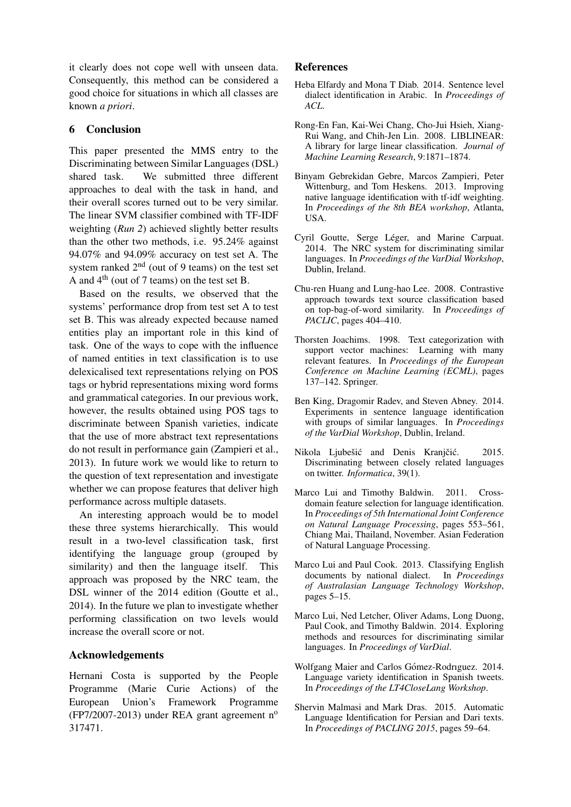it clearly does not cope well with unseen data. Consequently, this method can be considered a good choice for situations in which all classes are known *a priori*.

### 6 Conclusion

This paper presented the MMS entry to the Discriminating between Similar Languages (DSL) shared task. We submitted three different approaches to deal with the task in hand, and their overall scores turned out to be very similar. The linear SVM classifier combined with TF-IDF weighting (*Run 2*) achieved slightly better results than the other two methods, i.e. 95.24% against 94.07% and 94.09% accuracy on test set A. The system ranked  $2<sup>nd</sup>$  (out of 9 teams) on the test set A and 4th (out of 7 teams) on the test set B.

Based on the results, we observed that the systems' performance drop from test set A to test set B. This was already expected because named entities play an important role in this kind of task. One of the ways to cope with the influence of named entities in text classification is to use delexicalised text representations relying on POS tags or hybrid representations mixing word forms and grammatical categories. In our previous work, however, the results obtained using POS tags to discriminate between Spanish varieties, indicate that the use of more abstract text representations do not result in performance gain (Zampieri et al., 2013). In future work we would like to return to the question of text representation and investigate whether we can propose features that deliver high performance across multiple datasets.

An interesting approach would be to model these three systems hierarchically. This would result in a two-level classification task, first identifying the language group (grouped by similarity) and then the language itself. This approach was proposed by the NRC team, the DSL winner of the 2014 edition (Goutte et al., 2014). In the future we plan to investigate whether performing classification on two levels would increase the overall score or not.

#### Acknowledgements

Hernani Costa is supported by the People Programme (Marie Curie Actions) of the European Union's Framework Programme (FP7/2007-2013) under REA grant agreement  $n^{\circ}$ 317471.

#### References

- Heba Elfardy and Mona T Diab. 2014. Sentence level dialect identification in Arabic. In *Proceedings of ACL*.
- Rong-En Fan, Kai-Wei Chang, Cho-Jui Hsieh, Xiang-Rui Wang, and Chih-Jen Lin. 2008. LIBLINEAR: A library for large linear classification. *Journal of Machine Learning Research*, 9:1871–1874.
- Binyam Gebrekidan Gebre, Marcos Zampieri, Peter Wittenburg, and Tom Heskens. 2013. Improving native language identification with tf-idf weighting. In *Proceedings of the 8th BEA workshop*, Atlanta, USA.
- Cyril Goutte, Serge Léger, and Marine Carpuat. 2014. The NRC system for discriminating similar languages. In *Proceedings of the VarDial Workshop*, Dublin, Ireland.
- Chu-ren Huang and Lung-hao Lee. 2008. Contrastive approach towards text source classification based on top-bag-of-word similarity. In *Proceedings of PACLIC*, pages 404–410.
- Thorsten Joachims. 1998. Text categorization with support vector machines: Learning with many relevant features. In *Proceedings of the European Conference on Machine Learning (ECML)*, pages 137–142. Springer.
- Ben King, Dragomir Radev, and Steven Abney. 2014. Experiments in sentence language identification with groups of similar languages. In *Proceedings of the VarDial Workshop*, Dublin, Ireland.
- Nikola Ljubešić and Denis Kranjčić. 2015. Discriminating between closely related languages on twitter. *Informatica*, 39(1).
- Marco Lui and Timothy Baldwin. 2011. Crossdomain feature selection for language identification. In *Proceedings of 5th International Joint Conference on Natural Language Processing*, pages 553–561, Chiang Mai, Thailand, November. Asian Federation of Natural Language Processing.
- Marco Lui and Paul Cook. 2013. Classifying English documents by national dialect. In *Proceedings of Australasian Language Technology Workshop*, pages 5–15.
- Marco Lui, Ned Letcher, Oliver Adams, Long Duong, Paul Cook, and Timothy Baldwin. 2014. Exploring methods and resources for discriminating similar languages. In *Proceedings of VarDial*.
- Wolfgang Maier and Carlos Gómez-Rodriguez. 2014. Language variety identification in Spanish tweets. In *Proceedings of the LT4CloseLang Workshop*.
- Shervin Malmasi and Mark Dras. 2015. Automatic Language Identification for Persian and Dari texts. In *Proceedings of PACLING 2015*, pages 59–64.